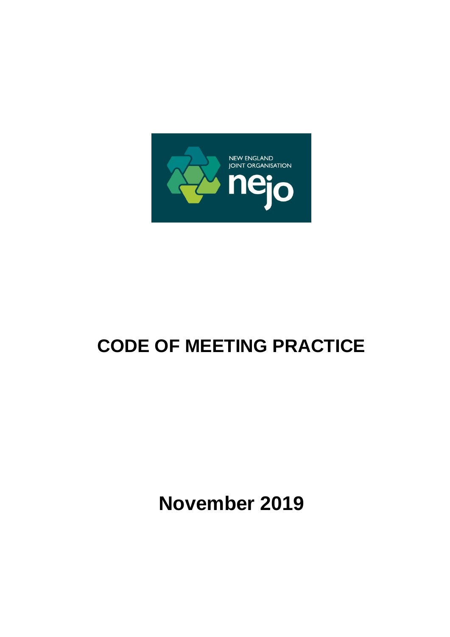

# **CODE OF MEETING PRACTICE**

**November 2019**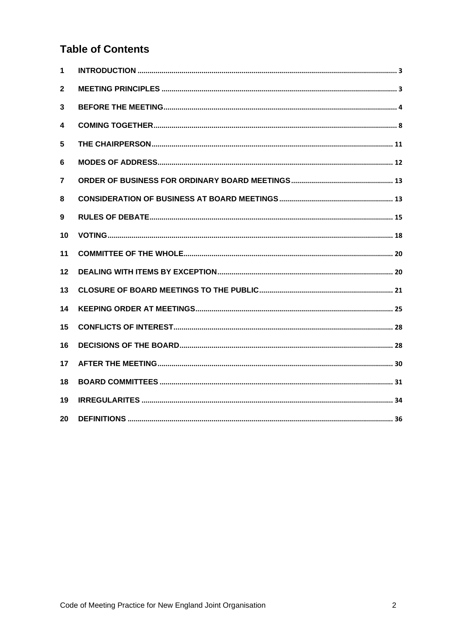# **Table of Contents**

| 1  |  |
|----|--|
| 2  |  |
| 3  |  |
| 4  |  |
| 5  |  |
| 6  |  |
| 7  |  |
| 8  |  |
| 9  |  |
| 10 |  |
| 11 |  |
| 12 |  |
| 13 |  |
| 14 |  |
| 15 |  |
| 16 |  |
| 17 |  |
| 18 |  |
| 19 |  |
| 20 |  |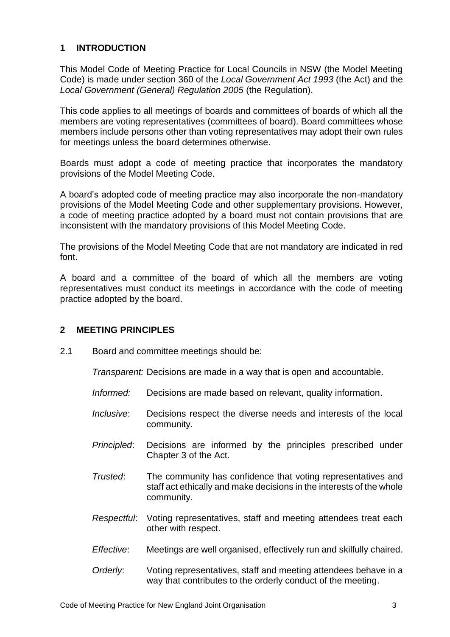# <span id="page-2-0"></span>**1 INTRODUCTION**

This Model Code of Meeting Practice for Local Councils in NSW (the Model Meeting Code) is made under section 360 of the *Local Government Act 1993* (the Act) and the *Local Government (General) Regulation 2005* (the Regulation).

This code applies to all meetings of boards and committees of boards of which all the members are voting representatives (committees of board). Board committees whose members include persons other than voting representatives may adopt their own rules for meetings unless the board determines otherwise.

Boards must adopt a code of meeting practice that incorporates the mandatory provisions of the Model Meeting Code.

A board's adopted code of meeting practice may also incorporate the non-mandatory provisions of the Model Meeting Code and other supplementary provisions. However, a code of meeting practice adopted by a board must not contain provisions that are inconsistent with the mandatory provisions of this Model Meeting Code.

The provisions of the Model Meeting Code that are not mandatory are indicated in red font.

A board and a committee of the board of which all the members are voting representatives must conduct its meetings in accordance with the code of meeting practice adopted by the board.

### <span id="page-2-1"></span>**2 MEETING PRINCIPLES**

2.1 Board and committee meetings should be:

*Transparent:* Decisions are made in a way that is open and accountable.

- *Informed:* Decisions are made based on relevant, quality information.
- *Inclusive*: Decisions respect the diverse needs and interests of the local community.
- *Principled*: Decisions are informed by the principles prescribed under Chapter 3 of the Act.
- *Trusted*: The community has confidence that voting representatives and staff act ethically and make decisions in the interests of the whole community.
- *Respectful*: Voting representatives, staff and meeting attendees treat each other with respect.
- *Effective*: Meetings are well organised, effectively run and skilfully chaired.
- *Orderly*: Voting representatives, staff and meeting attendees behave in a way that contributes to the orderly conduct of the meeting.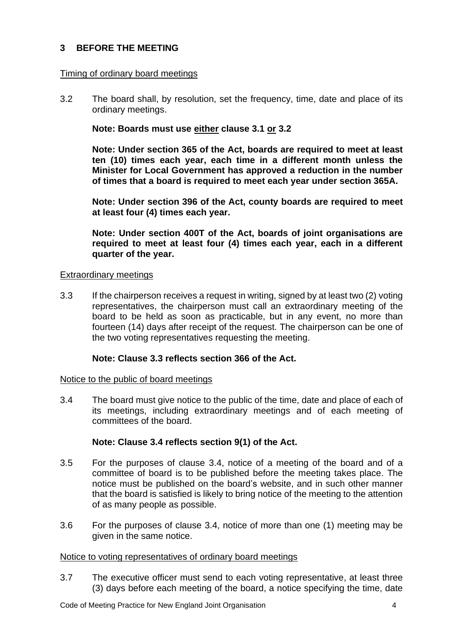# <span id="page-3-0"></span>**3 BEFORE THE MEETING**

### Timing of ordinary board meetings

3.2 The board shall, by resolution, set the frequency, time, date and place of its ordinary meetings.

### **Note: Boards must use either clause 3.1 or 3.2**

**Note: Under section 365 of the Act, boards are required to meet at least ten (10) times each year, each time in a different month unless the Minister for Local Government has approved a reduction in the number of times that a board is required to meet each year under section 365A.**

**Note: Under section 396 of the Act, county boards are required to meet at least four (4) times each year.**

**Note: Under section 400T of the Act, boards of joint organisations are required to meet at least four (4) times each year, each in a different quarter of the year.**

### Extraordinary meetings

3.3 If the chairperson receives a request in writing, signed by at least two (2) voting representatives, the chairperson must call an extraordinary meeting of the board to be held as soon as practicable, but in any event, no more than fourteen (14) days after receipt of the request. The chairperson can be one of the two voting representatives requesting the meeting.

### **Note: Clause 3.3 reflects section 366 of the Act.**

#### Notice to the public of board meetings

3.4 The board must give notice to the public of the time, date and place of each of its meetings, including extraordinary meetings and of each meeting of committees of the board.

### **Note: Clause 3.4 reflects section 9(1) of the Act.**

- 3.5 For the purposes of clause 3.4, notice of a meeting of the board and of a committee of board is to be published before the meeting takes place. The notice must be published on the board's website, and in such other manner that the board is satisfied is likely to bring notice of the meeting to the attention of as many people as possible.
- 3.6 For the purposes of clause 3.4, notice of more than one (1) meeting may be given in the same notice.

#### Notice to voting representatives of ordinary board meetings

3.7 The executive officer must send to each voting representative, at least three (3) days before each meeting of the board, a notice specifying the time, date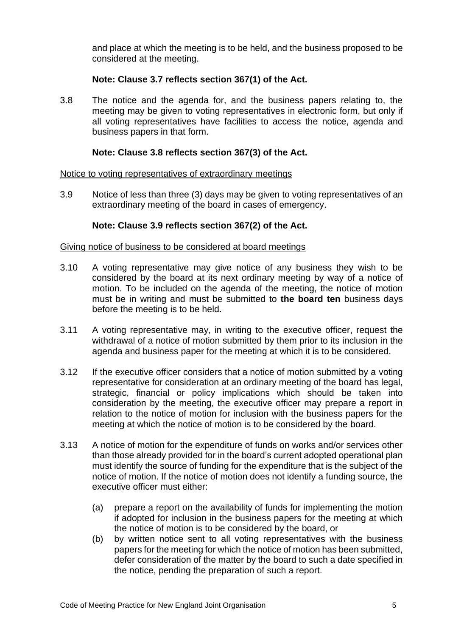and place at which the meeting is to be held, and the business proposed to be considered at the meeting.

# **Note: Clause 3.7 reflects section 367(1) of the Act.**

3.8 The notice and the agenda for, and the business papers relating to, the meeting may be given to voting representatives in electronic form, but only if all voting representatives have facilities to access the notice, agenda and business papers in that form.

## **Note: Clause 3.8 reflects section 367(3) of the Act.**

### Notice to voting representatives of extraordinary meetings

3.9 Notice of less than three (3) days may be given to voting representatives of an extraordinary meeting of the board in cases of emergency.

### **Note: Clause 3.9 reflects section 367(2) of the Act.**

### Giving notice of business to be considered at board meetings

- 3.10 A voting representative may give notice of any business they wish to be considered by the board at its next ordinary meeting by way of a notice of motion. To be included on the agenda of the meeting, the notice of motion must be in writing and must be submitted to **the board ten** business days before the meeting is to be held.
- 3.11 A voting representative may, in writing to the executive officer, request the withdrawal of a notice of motion submitted by them prior to its inclusion in the agenda and business paper for the meeting at which it is to be considered.
- 3.12 If the executive officer considers that a notice of motion submitted by a voting representative for consideration at an ordinary meeting of the board has legal, strategic, financial or policy implications which should be taken into consideration by the meeting, the executive officer may prepare a report in relation to the notice of motion for inclusion with the business papers for the meeting at which the notice of motion is to be considered by the board.
- 3.13 A notice of motion for the expenditure of funds on works and/or services other than those already provided for in the board's current adopted operational plan must identify the source of funding for the expenditure that is the subject of the notice of motion. If the notice of motion does not identify a funding source, the executive officer must either:
	- (a) prepare a report on the availability of funds for implementing the motion if adopted for inclusion in the business papers for the meeting at which the notice of motion is to be considered by the board, or
	- (b) by written notice sent to all voting representatives with the business papers for the meeting for which the notice of motion has been submitted, defer consideration of the matter by the board to such a date specified in the notice, pending the preparation of such a report.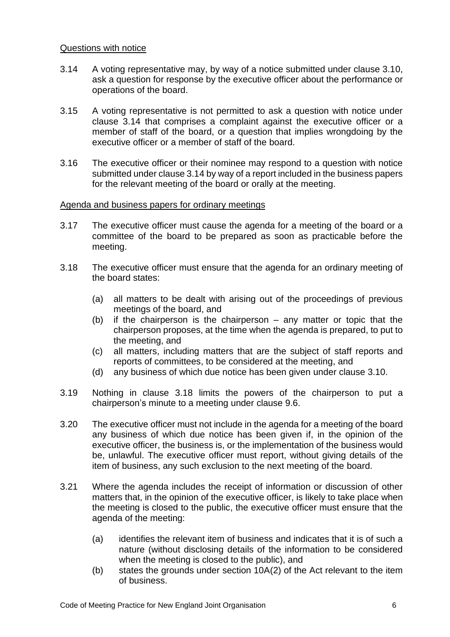### Questions with notice

- 3.14 A voting representative may, by way of a notice submitted under clause 3.10, ask a question for response by the executive officer about the performance or operations of the board.
- 3.15 A voting representative is not permitted to ask a question with notice under clause 3.14 that comprises a complaint against the executive officer or a member of staff of the board, or a question that implies wrongdoing by the executive officer or a member of staff of the board.
- 3.16 The executive officer or their nominee may respond to a question with notice submitted under clause 3.14 by way of a report included in the business papers for the relevant meeting of the board or orally at the meeting.

### Agenda and business papers for ordinary meetings

- 3.17 The executive officer must cause the agenda for a meeting of the board or a committee of the board to be prepared as soon as practicable before the meeting.
- 3.18 The executive officer must ensure that the agenda for an ordinary meeting of the board states:
	- (a) all matters to be dealt with arising out of the proceedings of previous meetings of the board, and
	- (b) if the chairperson is the chairperson any matter or topic that the chairperson proposes, at the time when the agenda is prepared, to put to the meeting, and
	- (c) all matters, including matters that are the subject of staff reports and reports of committees, to be considered at the meeting, and
	- (d) any business of which due notice has been given under clause 3.10.
- 3.19 Nothing in clause 3.18 limits the powers of the chairperson to put a chairperson's minute to a meeting under clause 9.6.
- 3.20 The executive officer must not include in the agenda for a meeting of the board any business of which due notice has been given if, in the opinion of the executive officer, the business is, or the implementation of the business would be, unlawful. The executive officer must report, without giving details of the item of business, any such exclusion to the next meeting of the board.
- 3.21 Where the agenda includes the receipt of information or discussion of other matters that, in the opinion of the executive officer, is likely to take place when the meeting is closed to the public, the executive officer must ensure that the agenda of the meeting:
	- (a) identifies the relevant item of business and indicates that it is of such a nature (without disclosing details of the information to be considered when the meeting is closed to the public), and
	- (b) states the grounds under section 10A(2) of the Act relevant to the item of business.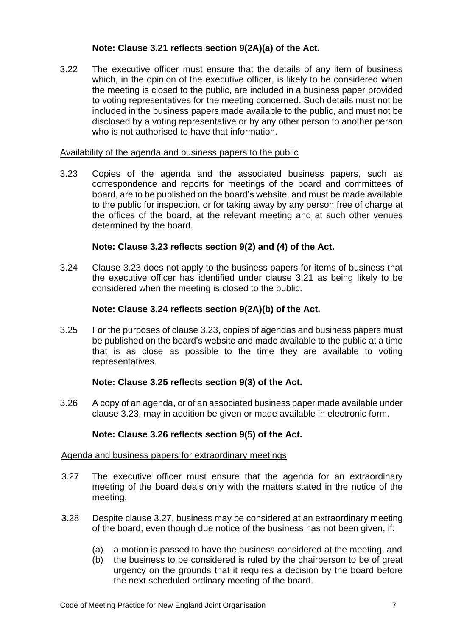# **Note: Clause 3.21 reflects section 9(2A)(a) of the Act.**

3.22 The executive officer must ensure that the details of any item of business which, in the opinion of the executive officer, is likely to be considered when the meeting is closed to the public, are included in a business paper provided to voting representatives for the meeting concerned. Such details must not be included in the business papers made available to the public, and must not be disclosed by a voting representative or by any other person to another person who is not authorised to have that information.

## Availability of the agenda and business papers to the public

3.23 Copies of the agenda and the associated business papers, such as correspondence and reports for meetings of the board and committees of board, are to be published on the board's website, and must be made available to the public for inspection, or for taking away by any person free of charge at the offices of the board, at the relevant meeting and at such other venues determined by the board.

# **Note: Clause 3.23 reflects section 9(2) and (4) of the Act.**

3.24 Clause 3.23 does not apply to the business papers for items of business that the executive officer has identified under clause 3.21 as being likely to be considered when the meeting is closed to the public.

# **Note: Clause 3.24 reflects section 9(2A)(b) of the Act.**

3.25 For the purposes of clause 3.23, copies of agendas and business papers must be published on the board's website and made available to the public at a time that is as close as possible to the time they are available to voting representatives.

### **Note: Clause 3.25 reflects section 9(3) of the Act.**

3.26 A copy of an agenda, or of an associated business paper made available under clause 3.23, may in addition be given or made available in electronic form.

### **Note: Clause 3.26 reflects section 9(5) of the Act.**

### Agenda and business papers for extraordinary meetings

- 3.27 The executive officer must ensure that the agenda for an extraordinary meeting of the board deals only with the matters stated in the notice of the meeting.
- 3.28 Despite clause 3.27, business may be considered at an extraordinary meeting of the board, even though due notice of the business has not been given, if:
	- (a) a motion is passed to have the business considered at the meeting, and
	- (b) the business to be considered is ruled by the chairperson to be of great urgency on the grounds that it requires a decision by the board before the next scheduled ordinary meeting of the board.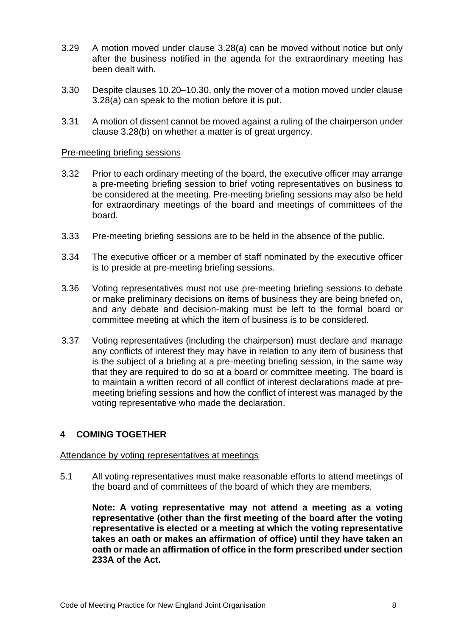- 3.29 A motion moved under clause 3.28(a) can be moved without notice but only after the business notified in the agenda for the extraordinary meeting has been dealt with.
- 3.30 Despite clauses 10.20–10.30, only the mover of a motion moved under clause 3.28(a) can speak to the motion before it is put.
- 3.31 A motion of dissent cannot be moved against a ruling of the chairperson under clause 3.28(b) on whether a matter is of great urgency.

### Pre-meeting briefing sessions

- 3.32 Prior to each ordinary meeting of the board, the executive officer may arrange a pre-meeting briefing session to brief voting representatives on business to be considered at the meeting. Pre-meeting briefing sessions may also be held for extraordinary meetings of the board and meetings of committees of the board.
- 3.33 Pre-meeting briefing sessions are to be held in the absence of the public.
- 3.34 The executive officer or a member of staff nominated by the executive officer is to preside at pre-meeting briefing sessions.
- 3.36 Voting representatives must not use pre-meeting briefing sessions to debate or make preliminary decisions on items of business they are being briefed on, and any debate and decision-making must be left to the formal board or committee meeting at which the item of business is to be considered.
- 3.37 Voting representatives (including the chairperson) must declare and manage any conflicts of interest they may have in relation to any item of business that is the subject of a briefing at a pre-meeting briefing session, in the same way that they are required to do so at a board or committee meeting. The board is to maintain a written record of all conflict of interest declarations made at premeeting briefing sessions and how the conflict of interest was managed by the voting representative who made the declaration.

# <span id="page-7-0"></span>**4 COMING TOGETHER**

#### Attendance by voting representatives at meetings

5.1 All voting representatives must make reasonable efforts to attend meetings of the board and of committees of the board of which they are members.

**Note: A voting representative may not attend a meeting as a voting representative (other than the first meeting of the board after the voting representative is elected or a meeting at which the voting representative takes an oath or makes an affirmation of office) until they have taken an oath or made an affirmation of office in the form prescribed under section 233A of the Act.**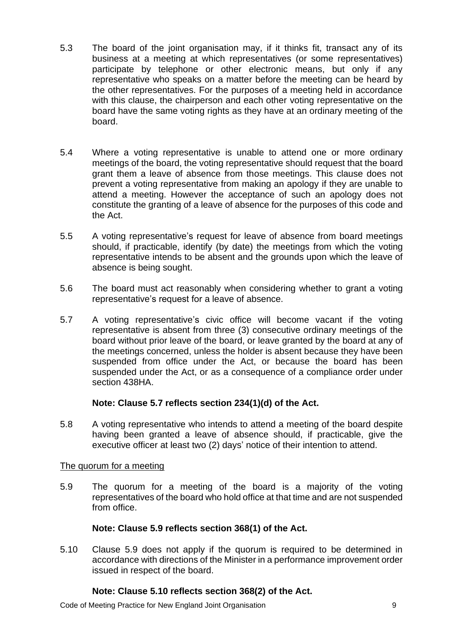- 5.3 The board of the joint organisation may, if it thinks fit, transact any of its business at a meeting at which representatives (or some representatives) participate by telephone or other electronic means, but only if any representative who speaks on a matter before the meeting can be heard by the other representatives. For the purposes of a meeting held in accordance with this clause, the chairperson and each other voting representative on the board have the same voting rights as they have at an ordinary meeting of the board.
- 5.4 Where a voting representative is unable to attend one or more ordinary meetings of the board, the voting representative should request that the board grant them a leave of absence from those meetings. This clause does not prevent a voting representative from making an apology if they are unable to attend a meeting. However the acceptance of such an apology does not constitute the granting of a leave of absence for the purposes of this code and the Act.
- 5.5 A voting representative's request for leave of absence from board meetings should, if practicable, identify (by date) the meetings from which the voting representative intends to be absent and the grounds upon which the leave of absence is being sought.
- 5.6 The board must act reasonably when considering whether to grant a voting representative's request for a leave of absence.
- 5.7 A voting representative's civic office will become vacant if the voting representative is absent from three (3) consecutive ordinary meetings of the board without prior leave of the board, or leave granted by the board at any of the meetings concerned, unless the holder is absent because they have been suspended from office under the Act, or because the board has been suspended under the Act, or as a consequence of a compliance order under section 438HA.

# **Note: Clause 5.7 reflects section 234(1)(d) of the Act.**

5.8 A voting representative who intends to attend a meeting of the board despite having been granted a leave of absence should, if practicable, give the executive officer at least two (2) days' notice of their intention to attend.

### The quorum for a meeting

5.9 The quorum for a meeting of the board is a majority of the voting representatives of the board who hold office at that time and are not suspended from office.

### **Note: Clause 5.9 reflects section 368(1) of the Act.**

5.10 Clause 5.9 does not apply if the quorum is required to be determined in accordance with directions of the Minister in a performance improvement order issued in respect of the board.

### **Note: Clause 5.10 reflects section 368(2) of the Act.**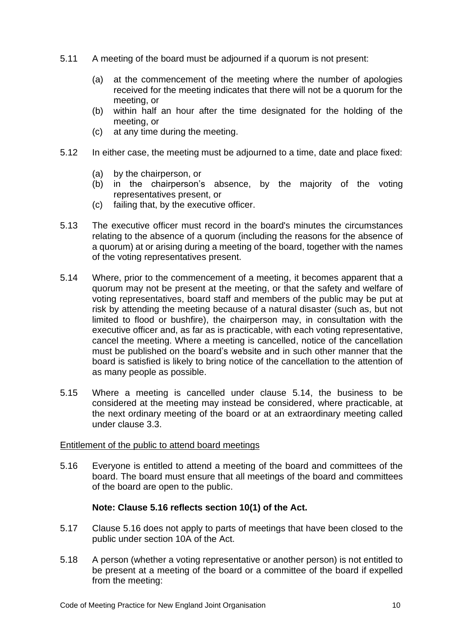- 5.11 A meeting of the board must be adjourned if a quorum is not present:
	- (a) at the commencement of the meeting where the number of apologies received for the meeting indicates that there will not be a quorum for the meeting, or
	- (b) within half an hour after the time designated for the holding of the meeting, or
	- (c) at any time during the meeting.
- 5.12 In either case, the meeting must be adjourned to a time, date and place fixed:
	- (a) by the chairperson, or
	- (b) in the chairperson's absence, by the majority of the voting representatives present, or
	- (c) failing that, by the executive officer.
- 5.13 The executive officer must record in the board's minutes the circumstances relating to the absence of a quorum (including the reasons for the absence of a quorum) at or arising during a meeting of the board, together with the names of the voting representatives present.
- 5.14 Where, prior to the commencement of a meeting, it becomes apparent that a quorum may not be present at the meeting, or that the safety and welfare of voting representatives, board staff and members of the public may be put at risk by attending the meeting because of a natural disaster (such as, but not limited to flood or bushfire), the chairperson may, in consultation with the executive officer and, as far as is practicable, with each voting representative, cancel the meeting. Where a meeting is cancelled, notice of the cancellation must be published on the board's website and in such other manner that the board is satisfied is likely to bring notice of the cancellation to the attention of as many people as possible.
- 5.15 Where a meeting is cancelled under clause 5.14, the business to be considered at the meeting may instead be considered, where practicable, at the next ordinary meeting of the board or at an extraordinary meeting called under clause 3.3.

#### Entitlement of the public to attend board meetings

5.16 Everyone is entitled to attend a meeting of the board and committees of the board. The board must ensure that all meetings of the board and committees of the board are open to the public.

### **Note: Clause 5.16 reflects section 10(1) of the Act.**

- 5.17 Clause 5.16 does not apply to parts of meetings that have been closed to the public under section 10A of the Act.
- 5.18 A person (whether a voting representative or another person) is not entitled to be present at a meeting of the board or a committee of the board if expelled from the meeting: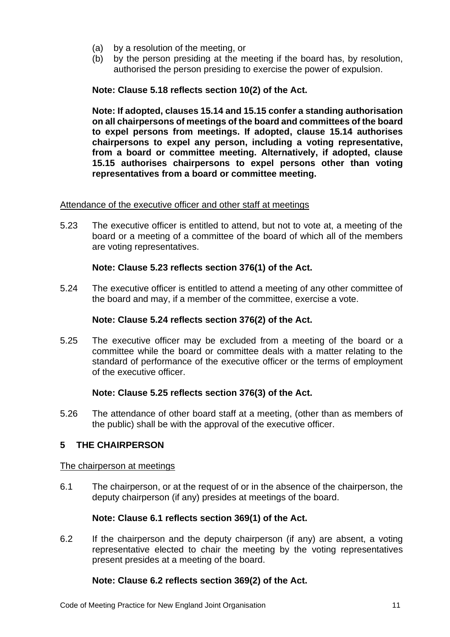- (a) by a resolution of the meeting, or
- (b) by the person presiding at the meeting if the board has, by resolution, authorised the person presiding to exercise the power of expulsion.

# **Note: Clause 5.18 reflects section 10(2) of the Act.**

**Note: If adopted, clauses 15.14 and 15.15 confer a standing authorisation on all chairpersons of meetings of the board and committees of the board to expel persons from meetings. If adopted, clause 15.14 authorises chairpersons to expel any person, including a voting representative, from a board or committee meeting. Alternatively, if adopted, clause 15.15 authorises chairpersons to expel persons other than voting representatives from a board or committee meeting.**

### Attendance of the executive officer and other staff at meetings

5.23 The executive officer is entitled to attend, but not to vote at, a meeting of the board or a meeting of a committee of the board of which all of the members are voting representatives.

### **Note: Clause 5.23 reflects section 376(1) of the Act.**

5.24 The executive officer is entitled to attend a meeting of any other committee of the board and may, if a member of the committee, exercise a vote.

#### **Note: Clause 5.24 reflects section 376(2) of the Act.**

5.25 The executive officer may be excluded from a meeting of the board or a committee while the board or committee deals with a matter relating to the standard of performance of the executive officer or the terms of employment of the executive officer.

### **Note: Clause 5.25 reflects section 376(3) of the Act.**

5.26 The attendance of other board staff at a meeting, (other than as members of the public) shall be with the approval of the executive officer.

### <span id="page-10-0"></span>**5 THE CHAIRPERSON**

#### The chairperson at meetings

6.1 The chairperson, or at the request of or in the absence of the chairperson, the deputy chairperson (if any) presides at meetings of the board.

### **Note: Clause 6.1 reflects section 369(1) of the Act.**

6.2 If the chairperson and the deputy chairperson (if any) are absent, a voting representative elected to chair the meeting by the voting representatives present presides at a meeting of the board.

### **Note: Clause 6.2 reflects section 369(2) of the Act.**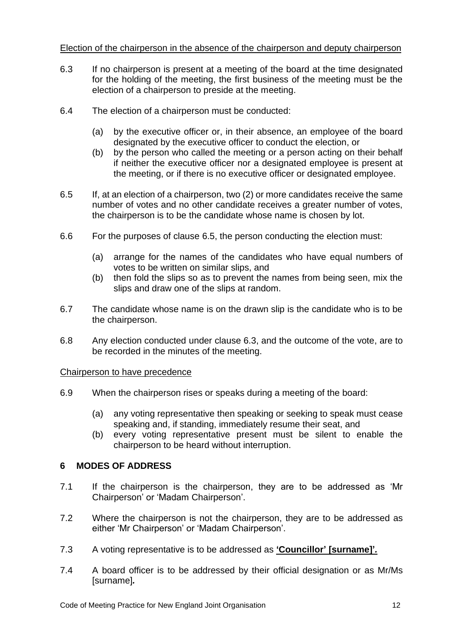# Election of the chairperson in the absence of the chairperson and deputy chairperson

- 6.3 If no chairperson is present at a meeting of the board at the time designated for the holding of the meeting, the first business of the meeting must be the election of a chairperson to preside at the meeting.
- 6.4 The election of a chairperson must be conducted:
	- (a) by the executive officer or, in their absence, an employee of the board designated by the executive officer to conduct the election, or
	- (b) by the person who called the meeting or a person acting on their behalf if neither the executive officer nor a designated employee is present at the meeting, or if there is no executive officer or designated employee.
- 6.5 If, at an election of a chairperson, two (2) or more candidates receive the same number of votes and no other candidate receives a greater number of votes, the chairperson is to be the candidate whose name is chosen by lot.
- 6.6 For the purposes of clause 6.5, the person conducting the election must:
	- (a) arrange for the names of the candidates who have equal numbers of votes to be written on similar slips, and
	- (b) then fold the slips so as to prevent the names from being seen, mix the slips and draw one of the slips at random.
- 6.7 The candidate whose name is on the drawn slip is the candidate who is to be the chairperson.
- 6.8 Any election conducted under clause 6.3, and the outcome of the vote, are to be recorded in the minutes of the meeting.

### Chairperson to have precedence

- 6.9 When the chairperson rises or speaks during a meeting of the board:
	- (a) any voting representative then speaking or seeking to speak must cease speaking and, if standing, immediately resume their seat, and
	- (b) every voting representative present must be silent to enable the chairperson to be heard without interruption.

# <span id="page-11-0"></span>**6 MODES OF ADDRESS**

- 7.1 If the chairperson is the chairperson, they are to be addressed as 'Mr Chairperson' or 'Madam Chairperson'.
- 7.2 Where the chairperson is not the chairperson, they are to be addressed as either 'Mr Chairperson' or 'Madam Chairperson'.
- 7.3 A voting representative is to be addressed as **'Councillor' [surname]'***.*
- 7.4 A board officer is to be addressed by their official designation or as Mr/Ms [surname]*.*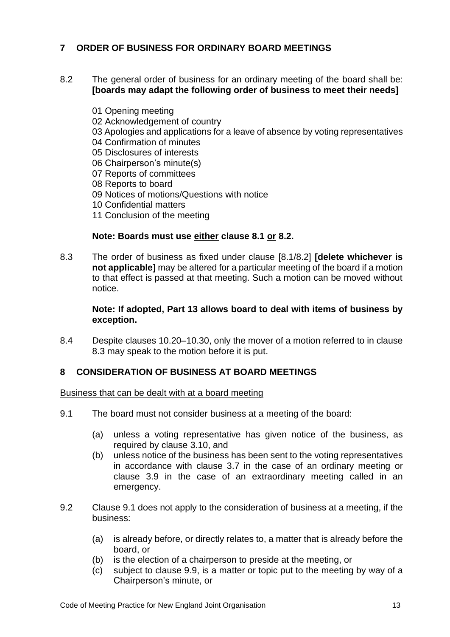# <span id="page-12-0"></span>**7 ORDER OF BUSINESS FOR ORDINARY BOARD MEETINGS**

- 8.2 The general order of business for an ordinary meeting of the board shall be: **[boards may adapt the following order of business to meet their needs]**
	- 01 Opening meeting
	- 02 Acknowledgement of country
	- 03 Apologies and applications for a leave of absence by voting representatives
	- 04 Confirmation of minutes
	- 05 Disclosures of interests
	- 06 Chairperson's minute(s)
	- 07 Reports of committees
	- 08 Reports to board
	- 09 Notices of motions/Questions with notice
	- 10 Confidential matters
	- 11 Conclusion of the meeting

### **Note: Boards must use either clause 8.1 or 8.2.**

8.3 The order of business as fixed under clause [8.1/8.2] **[delete whichever is not applicable]** may be altered for a particular meeting of the board if a motion to that effect is passed at that meeting. Such a motion can be moved without notice.

### **Note: If adopted, Part 13 allows board to deal with items of business by exception.**

8.4 Despite clauses 10.20–10.30, only the mover of a motion referred to in clause 8.3 may speak to the motion before it is put.

### <span id="page-12-1"></span>**8 CONSIDERATION OF BUSINESS AT BOARD MEETINGS**

Business that can be dealt with at a board meeting

- 9.1 The board must not consider business at a meeting of the board:
	- (a) unless a voting representative has given notice of the business, as required by clause 3.10, and
	- (b) unless notice of the business has been sent to the voting representatives in accordance with clause 3.7 in the case of an ordinary meeting or clause 3.9 in the case of an extraordinary meeting called in an emergency.
- 9.2 Clause 9.1 does not apply to the consideration of business at a meeting, if the business:
	- (a) is already before, or directly relates to, a matter that is already before the board, or
	- (b) is the election of a chairperson to preside at the meeting, or
	- (c) subject to clause 9.9, is a matter or topic put to the meeting by way of a Chairperson's minute, or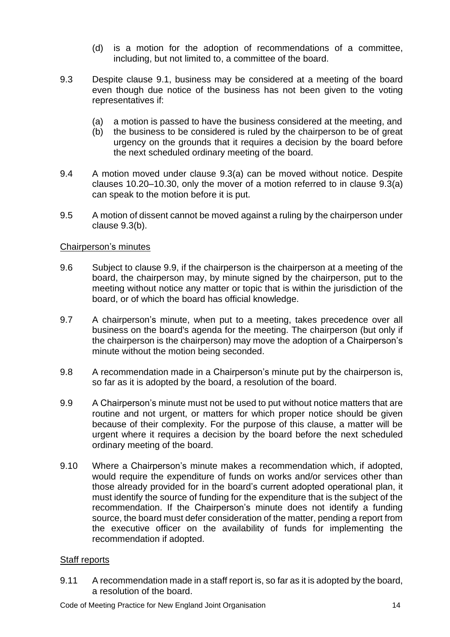- (d) is a motion for the adoption of recommendations of a committee, including, but not limited to, a committee of the board.
- 9.3 Despite clause 9.1, business may be considered at a meeting of the board even though due notice of the business has not been given to the voting representatives if:
	- (a) a motion is passed to have the business considered at the meeting, and
	- (b) the business to be considered is ruled by the chairperson to be of great urgency on the grounds that it requires a decision by the board before the next scheduled ordinary meeting of the board.
- 9.4 A motion moved under clause 9.3(a) can be moved without notice. Despite clauses 10.20–10.30, only the mover of a motion referred to in clause 9.3(a) can speak to the motion before it is put.
- 9.5 A motion of dissent cannot be moved against a ruling by the chairperson under clause 9.3(b).

# Chairperson's minutes

- 9.6 Subject to clause 9.9, if the chairperson is the chairperson at a meeting of the board, the chairperson may, by minute signed by the chairperson, put to the meeting without notice any matter or topic that is within the jurisdiction of the board, or of which the board has official knowledge.
- 9.7 A chairperson's minute, when put to a meeting, takes precedence over all business on the board's agenda for the meeting. The chairperson (but only if the chairperson is the chairperson) may move the adoption of a Chairperson's minute without the motion being seconded.
- 9.8 A recommendation made in a Chairperson's minute put by the chairperson is, so far as it is adopted by the board, a resolution of the board.
- 9.9 A Chairperson's minute must not be used to put without notice matters that are routine and not urgent, or matters for which proper notice should be given because of their complexity. For the purpose of this clause, a matter will be urgent where it requires a decision by the board before the next scheduled ordinary meeting of the board.
- 9.10 Where a Chairperson's minute makes a recommendation which, if adopted, would require the expenditure of funds on works and/or services other than those already provided for in the board's current adopted operational plan, it must identify the source of funding for the expenditure that is the subject of the recommendation. If the Chairperson's minute does not identify a funding source, the board must defer consideration of the matter, pending a report from the executive officer on the availability of funds for implementing the recommendation if adopted.

### Staff reports

9.11 A recommendation made in a staff report is, so far as it is adopted by the board, a resolution of the board.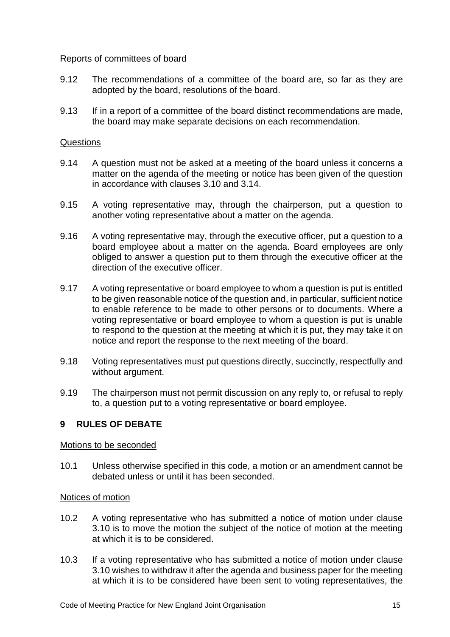### Reports of committees of board

- 9.12 The recommendations of a committee of the board are, so far as they are adopted by the board, resolutions of the board.
- 9.13 If in a report of a committee of the board distinct recommendations are made, the board may make separate decisions on each recommendation.

### **Questions**

- 9.14 A question must not be asked at a meeting of the board unless it concerns a matter on the agenda of the meeting or notice has been given of the question in accordance with clauses 3.10 and 3.14.
- 9.15 A voting representative may, through the chairperson, put a question to another voting representative about a matter on the agenda.
- 9.16 A voting representative may, through the executive officer, put a question to a board employee about a matter on the agenda. Board employees are only obliged to answer a question put to them through the executive officer at the direction of the executive officer.
- 9.17 A voting representative or board employee to whom a question is put is entitled to be given reasonable notice of the question and, in particular, sufficient notice to enable reference to be made to other persons or to documents. Where a voting representative or board employee to whom a question is put is unable to respond to the question at the meeting at which it is put, they may take it on notice and report the response to the next meeting of the board.
- 9.18 Voting representatives must put questions directly, succinctly, respectfully and without argument.
- 9.19 The chairperson must not permit discussion on any reply to, or refusal to reply to, a question put to a voting representative or board employee.

### <span id="page-14-0"></span>**9 RULES OF DEBATE**

#### Motions to be seconded

10.1 Unless otherwise specified in this code, a motion or an amendment cannot be debated unless or until it has been seconded.

#### Notices of motion

- 10.2 A voting representative who has submitted a notice of motion under clause 3.10 is to move the motion the subject of the notice of motion at the meeting at which it is to be considered.
- 10.3 If a voting representative who has submitted a notice of motion under clause 3.10 wishes to withdraw it after the agenda and business paper for the meeting at which it is to be considered have been sent to voting representatives, the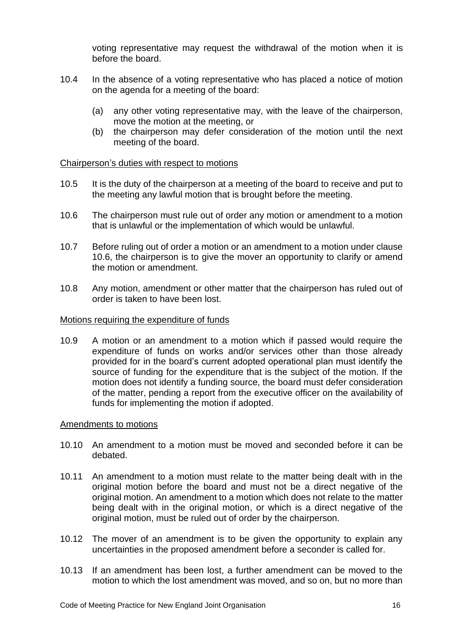voting representative may request the withdrawal of the motion when it is before the board.

- 10.4 In the absence of a voting representative who has placed a notice of motion on the agenda for a meeting of the board:
	- (a) any other voting representative may, with the leave of the chairperson, move the motion at the meeting, or
	- (b) the chairperson may defer consideration of the motion until the next meeting of the board.

### Chairperson's duties with respect to motions

- 10.5 It is the duty of the chairperson at a meeting of the board to receive and put to the meeting any lawful motion that is brought before the meeting.
- 10.6 The chairperson must rule out of order any motion or amendment to a motion that is unlawful or the implementation of which would be unlawful.
- 10.7 Before ruling out of order a motion or an amendment to a motion under clause 10.6, the chairperson is to give the mover an opportunity to clarify or amend the motion or amendment.
- 10.8 Any motion, amendment or other matter that the chairperson has ruled out of order is taken to have been lost.

#### Motions requiring the expenditure of funds

10.9 A motion or an amendment to a motion which if passed would require the expenditure of funds on works and/or services other than those already provided for in the board's current adopted operational plan must identify the source of funding for the expenditure that is the subject of the motion. If the motion does not identify a funding source, the board must defer consideration of the matter, pending a report from the executive officer on the availability of funds for implementing the motion if adopted.

### Amendments to motions

- 10.10 An amendment to a motion must be moved and seconded before it can be debated.
- 10.11 An amendment to a motion must relate to the matter being dealt with in the original motion before the board and must not be a direct negative of the original motion. An amendment to a motion which does not relate to the matter being dealt with in the original motion, or which is a direct negative of the original motion, must be ruled out of order by the chairperson.
- 10.12 The mover of an amendment is to be given the opportunity to explain any uncertainties in the proposed amendment before a seconder is called for.
- 10.13 If an amendment has been lost, a further amendment can be moved to the motion to which the lost amendment was moved, and so on, but no more than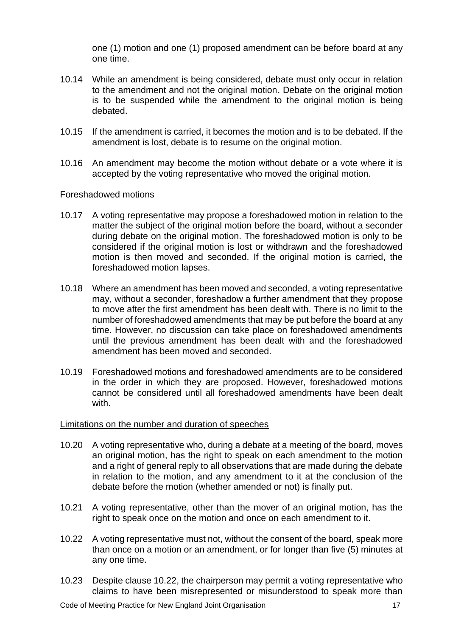one (1) motion and one (1) proposed amendment can be before board at any one time.

- 10.14 While an amendment is being considered, debate must only occur in relation to the amendment and not the original motion. Debate on the original motion is to be suspended while the amendment to the original motion is being debated.
- 10.15 If the amendment is carried, it becomes the motion and is to be debated. If the amendment is lost, debate is to resume on the original motion.
- 10.16 An amendment may become the motion without debate or a vote where it is accepted by the voting representative who moved the original motion.

### Foreshadowed motions

- 10.17 A voting representative may propose a foreshadowed motion in relation to the matter the subject of the original motion before the board, without a seconder during debate on the original motion. The foreshadowed motion is only to be considered if the original motion is lost or withdrawn and the foreshadowed motion is then moved and seconded. If the original motion is carried, the foreshadowed motion lapses.
- 10.18 Where an amendment has been moved and seconded, a voting representative may, without a seconder, foreshadow a further amendment that they propose to move after the first amendment has been dealt with. There is no limit to the number of foreshadowed amendments that may be put before the board at any time. However, no discussion can take place on foreshadowed amendments until the previous amendment has been dealt with and the foreshadowed amendment has been moved and seconded.
- 10.19 Foreshadowed motions and foreshadowed amendments are to be considered in the order in which they are proposed. However, foreshadowed motions cannot be considered until all foreshadowed amendments have been dealt with.

#### Limitations on the number and duration of speeches

- 10.20 A voting representative who, during a debate at a meeting of the board, moves an original motion, has the right to speak on each amendment to the motion and a right of general reply to all observations that are made during the debate in relation to the motion, and any amendment to it at the conclusion of the debate before the motion (whether amended or not) is finally put.
- 10.21 A voting representative, other than the mover of an original motion, has the right to speak once on the motion and once on each amendment to it.
- 10.22 A voting representative must not, without the consent of the board, speak more than once on a motion or an amendment, or for longer than five (5) minutes at any one time.
- 10.23 Despite clause 10.22, the chairperson may permit a voting representative who claims to have been misrepresented or misunderstood to speak more than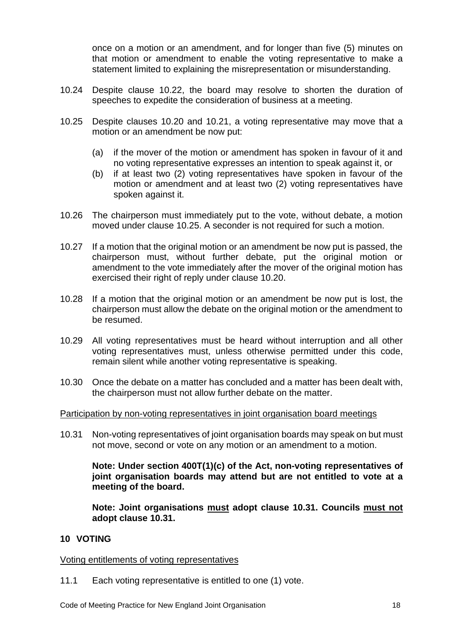once on a motion or an amendment, and for longer than five (5) minutes on that motion or amendment to enable the voting representative to make a statement limited to explaining the misrepresentation or misunderstanding.

- 10.24 Despite clause 10.22, the board may resolve to shorten the duration of speeches to expedite the consideration of business at a meeting.
- 10.25 Despite clauses 10.20 and 10.21, a voting representative may move that a motion or an amendment be now put:
	- (a) if the mover of the motion or amendment has spoken in favour of it and no voting representative expresses an intention to speak against it, or
	- (b) if at least two (2) voting representatives have spoken in favour of the motion or amendment and at least two (2) voting representatives have spoken against it.
- 10.26 The chairperson must immediately put to the vote, without debate, a motion moved under clause 10.25. A seconder is not required for such a motion.
- 10.27 If a motion that the original motion or an amendment be now put is passed, the chairperson must, without further debate, put the original motion or amendment to the vote immediately after the mover of the original motion has exercised their right of reply under clause 10.20.
- 10.28 If a motion that the original motion or an amendment be now put is lost, the chairperson must allow the debate on the original motion or the amendment to be resumed.
- 10.29 All voting representatives must be heard without interruption and all other voting representatives must, unless otherwise permitted under this code, remain silent while another voting representative is speaking.
- 10.30 Once the debate on a matter has concluded and a matter has been dealt with, the chairperson must not allow further debate on the matter.

### Participation by non-voting representatives in joint organisation board meetings

10.31 Non-voting representatives of joint organisation boards may speak on but must not move, second or vote on any motion or an amendment to a motion.

**Note: Under section 400T(1)(c) of the Act, non-voting representatives of joint organisation boards may attend but are not entitled to vote at a meeting of the board.**

**Note: Joint organisations must adopt clause 10.31. Councils must not adopt clause 10.31.**

### <span id="page-17-0"></span>**10 VOTING**

### Voting entitlements of voting representatives

11.1 Each voting representative is entitled to one (1) vote.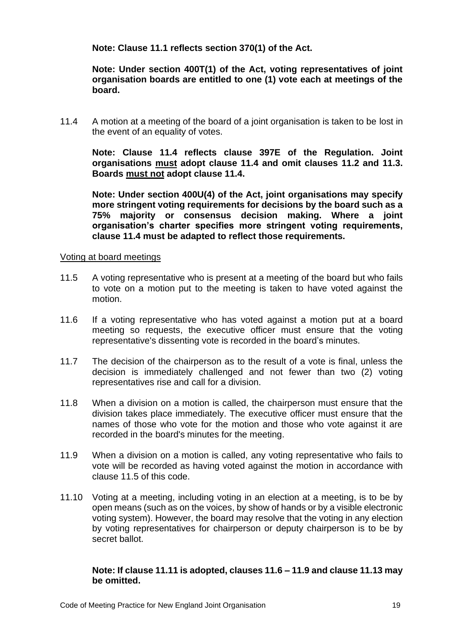**Note: Clause 11.1 reflects section 370(1) of the Act.**

**Note: Under section 400T(1) of the Act, voting representatives of joint organisation boards are entitled to one (1) vote each at meetings of the board.**

11.4 A motion at a meeting of the board of a joint organisation is taken to be lost in the event of an equality of votes.

**Note: Clause 11.4 reflects clause 397E of the Regulation. Joint organisations must adopt clause 11.4 and omit clauses 11.2 and 11.3. Boards must not adopt clause 11.4.**

**Note: Under section 400U(4) of the Act, joint organisations may specify more stringent voting requirements for decisions by the board such as a 75% majority or consensus decision making. Where a joint organisation's charter specifies more stringent voting requirements, clause 11.4 must be adapted to reflect those requirements.**

### Voting at board meetings

- 11.5 A voting representative who is present at a meeting of the board but who fails to vote on a motion put to the meeting is taken to have voted against the motion.
- 11.6 If a voting representative who has voted against a motion put at a board meeting so requests, the executive officer must ensure that the voting representative's dissenting vote is recorded in the board's minutes.
- 11.7 The decision of the chairperson as to the result of a vote is final, unless the decision is immediately challenged and not fewer than two (2) voting representatives rise and call for a division.
- 11.8 When a division on a motion is called, the chairperson must ensure that the division takes place immediately. The executive officer must ensure that the names of those who vote for the motion and those who vote against it are recorded in the board's minutes for the meeting.
- 11.9 When a division on a motion is called, any voting representative who fails to vote will be recorded as having voted against the motion in accordance with clause 11.5 of this code.
- 11.10 Voting at a meeting, including voting in an election at a meeting, is to be by open means (such as on the voices, by show of hands or by a visible electronic voting system). However, the board may resolve that the voting in any election by voting representatives for chairperson or deputy chairperson is to be by secret ballot.

#### **Note: If clause 11.11 is adopted, clauses 11.6 – 11.9 and clause 11.13 may be omitted.**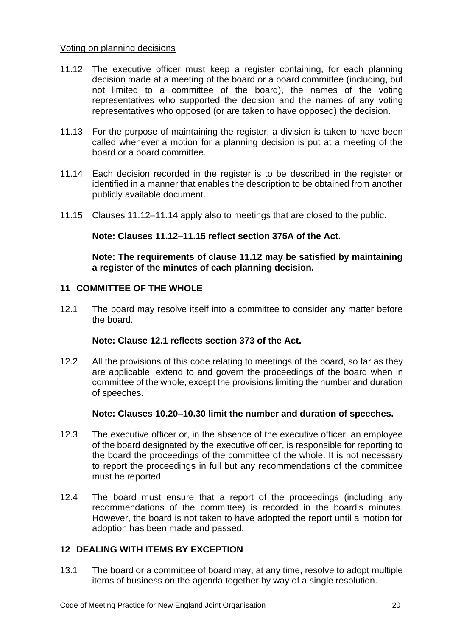### Voting on planning decisions

- 11.12 The executive officer must keep a register containing, for each planning decision made at a meeting of the board or a board committee (including, but not limited to a committee of the board), the names of the voting representatives who supported the decision and the names of any voting representatives who opposed (or are taken to have opposed) the decision.
- 11.13 For the purpose of maintaining the register, a division is taken to have been called whenever a motion for a planning decision is put at a meeting of the board or a board committee.
- 11.14 Each decision recorded in the register is to be described in the register or identified in a manner that enables the description to be obtained from another publicly available document.
- 11.15 Clauses 11.12–11.14 apply also to meetings that are closed to the public.

# **Note: Clauses 11.12–11.15 reflect section 375A of the Act.**

**Note: The requirements of clause 11.12 may be satisfied by maintaining a register of the minutes of each planning decision.**

# <span id="page-19-0"></span>**11 COMMITTEE OF THE WHOLE**

12.1 The board may resolve itself into a committee to consider any matter before the board.

### **Note: Clause 12.1 reflects section 373 of the Act.**

12.2 All the provisions of this code relating to meetings of the board, so far as they are applicable, extend to and govern the proceedings of the board when in committee of the whole, except the provisions limiting the number and duration of speeches.

### **Note: Clauses 10.20–10.30 limit the number and duration of speeches.**

- 12.3 The executive officer or, in the absence of the executive officer, an employee of the board designated by the executive officer, is responsible for reporting to the board the proceedings of the committee of the whole. It is not necessary to report the proceedings in full but any recommendations of the committee must be reported.
- 12.4 The board must ensure that a report of the proceedings (including any recommendations of the committee) is recorded in the board's minutes. However, the board is not taken to have adopted the report until a motion for adoption has been made and passed.

### <span id="page-19-1"></span>**12 DEALING WITH ITEMS BY EXCEPTION**

13.1 The board or a committee of board may, at any time, resolve to adopt multiple items of business on the agenda together by way of a single resolution.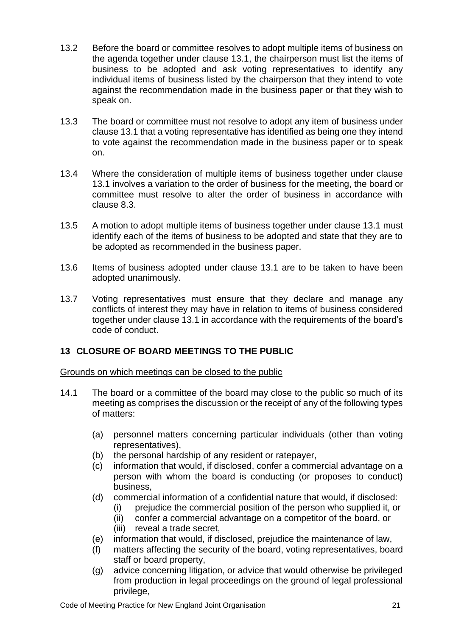- 13.2 Before the board or committee resolves to adopt multiple items of business on the agenda together under clause 13.1, the chairperson must list the items of business to be adopted and ask voting representatives to identify any individual items of business listed by the chairperson that they intend to vote against the recommendation made in the business paper or that they wish to speak on.
- 13.3 The board or committee must not resolve to adopt any item of business under clause 13.1 that a voting representative has identified as being one they intend to vote against the recommendation made in the business paper or to speak on.
- 13.4 Where the consideration of multiple items of business together under clause 13.1 involves a variation to the order of business for the meeting, the board or committee must resolve to alter the order of business in accordance with clause 8.3.
- 13.5 A motion to adopt multiple items of business together under clause 13.1 must identify each of the items of business to be adopted and state that they are to be adopted as recommended in the business paper.
- 13.6 Items of business adopted under clause 13.1 are to be taken to have been adopted unanimously.
- 13.7 Voting representatives must ensure that they declare and manage any conflicts of interest they may have in relation to items of business considered together under clause 13.1 in accordance with the requirements of the board's code of conduct.

# <span id="page-20-0"></span>**13 CLOSURE OF BOARD MEETINGS TO THE PUBLIC**

Grounds on which meetings can be closed to the public

- 14.1 The board or a committee of the board may close to the public so much of its meeting as comprises the discussion or the receipt of any of the following types of matters:
	- (a) personnel matters concerning particular individuals (other than voting representatives),
	- (b) the personal hardship of any resident or ratepayer,
	- (c) information that would, if disclosed, confer a commercial advantage on a person with whom the board is conducting (or proposes to conduct) business,
	- (d) commercial information of a confidential nature that would, if disclosed:
		- (i) prejudice the commercial position of the person who supplied it, or
		- (ii) confer a commercial advantage on a competitor of the board, or
		- (iii) reveal a trade secret,
	- (e) information that would, if disclosed, prejudice the maintenance of law,
	- (f) matters affecting the security of the board, voting representatives, board staff or board property,
	- (g) advice concerning litigation, or advice that would otherwise be privileged from production in legal proceedings on the ground of legal professional privilege,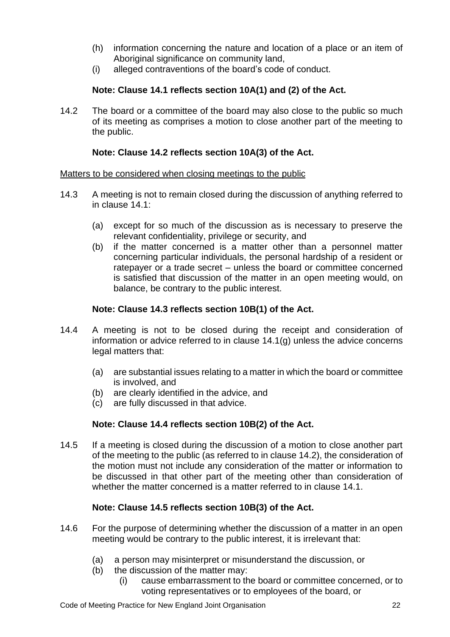- (h) information concerning the nature and location of a place or an item of Aboriginal significance on community land,
- (i) alleged contraventions of the board's code of conduct.

# **Note: Clause 14.1 reflects section 10A(1) and (2) of the Act.**

14.2 The board or a committee of the board may also close to the public so much of its meeting as comprises a motion to close another part of the meeting to the public.

# **Note: Clause 14.2 reflects section 10A(3) of the Act.**

# Matters to be considered when closing meetings to the public

- 14.3 A meeting is not to remain closed during the discussion of anything referred to in clause 14.1:
	- (a) except for so much of the discussion as is necessary to preserve the relevant confidentiality, privilege or security, and
	- (b) if the matter concerned is a matter other than a personnel matter concerning particular individuals, the personal hardship of a resident or ratepayer or a trade secret – unless the board or committee concerned is satisfied that discussion of the matter in an open meeting would, on balance, be contrary to the public interest.

# **Note: Clause 14.3 reflects section 10B(1) of the Act.**

- 14.4 A meeting is not to be closed during the receipt and consideration of information or advice referred to in clause 14.1(g) unless the advice concerns legal matters that:
	- (a) are substantial issues relating to a matter in which the board or committee is involved, and
	- (b) are clearly identified in the advice, and
	- (c) are fully discussed in that advice.

# **Note: Clause 14.4 reflects section 10B(2) of the Act.**

14.5 If a meeting is closed during the discussion of a motion to close another part of the meeting to the public (as referred to in clause 14.2), the consideration of the motion must not include any consideration of the matter or information to be discussed in that other part of the meeting other than consideration of whether the matter concerned is a matter referred to in clause 14.1.

# **Note: Clause 14.5 reflects section 10B(3) of the Act.**

- 14.6 For the purpose of determining whether the discussion of a matter in an open meeting would be contrary to the public interest, it is irrelevant that:
	- (a) a person may misinterpret or misunderstand the discussion, or
	- (b) the discussion of the matter may:
		- (i) cause embarrassment to the board or committee concerned, or to voting representatives or to employees of the board, or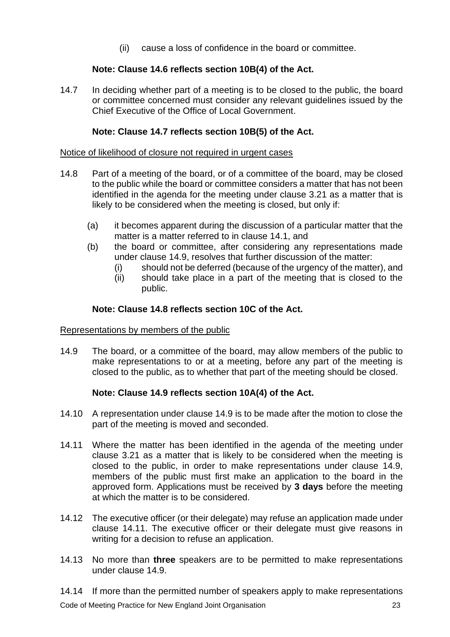(ii) cause a loss of confidence in the board or committee.

# **Note: Clause 14.6 reflects section 10B(4) of the Act.**

14.7 In deciding whether part of a meeting is to be closed to the public, the board or committee concerned must consider any relevant guidelines issued by the Chief Executive of the Office of Local Government.

# **Note: Clause 14.7 reflects section 10B(5) of the Act.**

### Notice of likelihood of closure not required in urgent cases

- 14.8 Part of a meeting of the board, or of a committee of the board, may be closed to the public while the board or committee considers a matter that has not been identified in the agenda for the meeting under clause 3.21 as a matter that is likely to be considered when the meeting is closed, but only if:
	- (a) it becomes apparent during the discussion of a particular matter that the matter is a matter referred to in clause 14.1, and
	- (b) the board or committee, after considering any representations made under clause 14.9, resolves that further discussion of the matter:
		- (i) should not be deferred (because of the urgency of the matter), and
		- (ii) should take place in a part of the meeting that is closed to the public.

### **Note: Clause 14.8 reflects section 10C of the Act.**

#### Representations by members of the public

14.9 The board, or a committee of the board, may allow members of the public to make representations to or at a meeting, before any part of the meeting is closed to the public, as to whether that part of the meeting should be closed.

### **Note: Clause 14.9 reflects section 10A(4) of the Act.**

- 14.10 A representation under clause 14.9 is to be made after the motion to close the part of the meeting is moved and seconded.
- 14.11 Where the matter has been identified in the agenda of the meeting under clause 3.21 as a matter that is likely to be considered when the meeting is closed to the public, in order to make representations under clause 14.9, members of the public must first make an application to the board in the approved form. Applications must be received by **3 days** before the meeting at which the matter is to be considered.
- 14.12 The executive officer (or their delegate) may refuse an application made under clause 14.11. The executive officer or their delegate must give reasons in writing for a decision to refuse an application.
- 14.13 No more than **three** speakers are to be permitted to make representations under clause 14.9.

Code of Meeting Practice for New England Joint Organisation 23 14.14 If more than the permitted number of speakers apply to make representations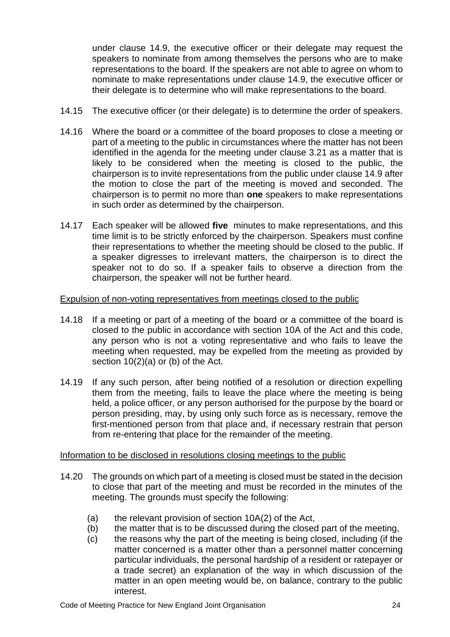under clause 14.9, the executive officer or their delegate may request the speakers to nominate from among themselves the persons who are to make representations to the board. If the speakers are not able to agree on whom to nominate to make representations under clause 14.9, the executive officer or their delegate is to determine who will make representations to the board.

- 14.15 The executive officer (or their delegate) is to determine the order of speakers.
- 14.16 Where the board or a committee of the board proposes to close a meeting or part of a meeting to the public in circumstances where the matter has not been identified in the agenda for the meeting under clause 3.21 as a matter that is likely to be considered when the meeting is closed to the public, the chairperson is to invite representations from the public under clause 14.9 after the motion to close the part of the meeting is moved and seconded. The chairperson is to permit no more than **one** speakers to make representations in such order as determined by the chairperson.
- 14.17 Each speaker will be allowed **five** minutes to make representations, and this time limit is to be strictly enforced by the chairperson. Speakers must confine their representations to whether the meeting should be closed to the public. If a speaker digresses to irrelevant matters, the chairperson is to direct the speaker not to do so. If a speaker fails to observe a direction from the chairperson, the speaker will not be further heard.

# Expulsion of non-voting representatives from meetings closed to the public

- 14.18 If a meeting or part of a meeting of the board or a committee of the board is closed to the public in accordance with section 10A of the Act and this code, any person who is not a voting representative and who fails to leave the meeting when requested, may be expelled from the meeting as provided by section 10(2)(a) or (b) of the Act.
- 14.19 If any such person, after being notified of a resolution or direction expelling them from the meeting, fails to leave the place where the meeting is being held, a police officer, or any person authorised for the purpose by the board or person presiding, may, by using only such force as is necessary, remove the first-mentioned person from that place and, if necessary restrain that person from re-entering that place for the remainder of the meeting.

### Information to be disclosed in resolutions closing meetings to the public

- 14.20 The grounds on which part of a meeting is closed must be stated in the decision to close that part of the meeting and must be recorded in the minutes of the meeting. The grounds must specify the following:
	- (a) the relevant provision of section 10A(2) of the Act,
	- (b) the matter that is to be discussed during the closed part of the meeting,
	- (c) the reasons why the part of the meeting is being closed, including (if the matter concerned is a matter other than a personnel matter concerning particular individuals, the personal hardship of a resident or ratepayer or a trade secret) an explanation of the way in which discussion of the matter in an open meeting would be, on balance, contrary to the public interest.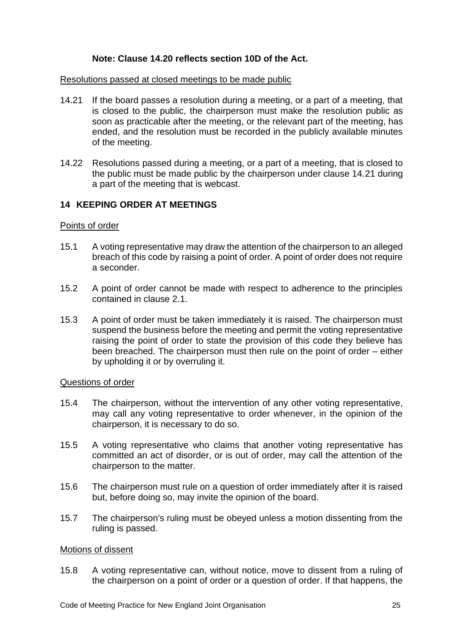# **Note: Clause 14.20 reflects section 10D of the Act.**

#### Resolutions passed at closed meetings to be made public

- 14.21 If the board passes a resolution during a meeting, or a part of a meeting, that is closed to the public, the chairperson must make the resolution public as soon as practicable after the meeting, or the relevant part of the meeting, has ended, and the resolution must be recorded in the publicly available minutes of the meeting.
- 14.22 Resolutions passed during a meeting, or a part of a meeting, that is closed to the public must be made public by the chairperson under clause 14.21 during a part of the meeting that is webcast.

### <span id="page-24-0"></span>**14 KEEPING ORDER AT MEETINGS**

#### Points of order

- 15.1 A voting representative may draw the attention of the chairperson to an alleged breach of this code by raising a point of order. A point of order does not require a seconder.
- 15.2 A point of order cannot be made with respect to adherence to the principles contained in clause 2.1.
- 15.3 A point of order must be taken immediately it is raised. The chairperson must suspend the business before the meeting and permit the voting representative raising the point of order to state the provision of this code they believe has been breached. The chairperson must then rule on the point of order – either by upholding it or by overruling it.

#### Questions of order

- 15.4 The chairperson, without the intervention of any other voting representative, may call any voting representative to order whenever, in the opinion of the chairperson, it is necessary to do so.
- 15.5 A voting representative who claims that another voting representative has committed an act of disorder, or is out of order, may call the attention of the chairperson to the matter.
- 15.6 The chairperson must rule on a question of order immediately after it is raised but, before doing so, may invite the opinion of the board.
- 15.7 The chairperson's ruling must be obeyed unless a motion dissenting from the ruling is passed.

#### Motions of dissent

15.8 A voting representative can, without notice, move to dissent from a ruling of the chairperson on a point of order or a question of order. If that happens, the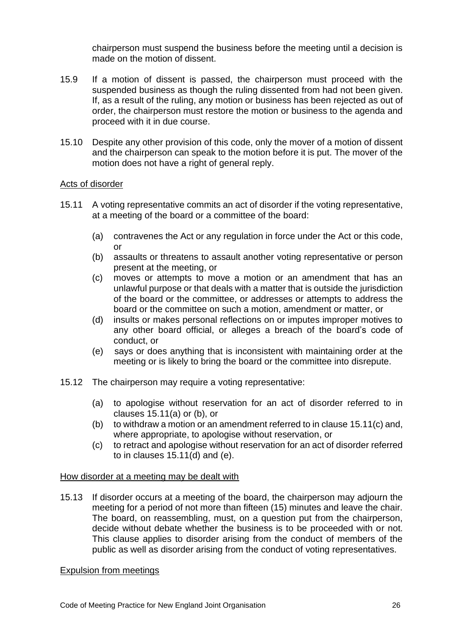chairperson must suspend the business before the meeting until a decision is made on the motion of dissent.

- 15.9 If a motion of dissent is passed, the chairperson must proceed with the suspended business as though the ruling dissented from had not been given. If, as a result of the ruling, any motion or business has been rejected as out of order, the chairperson must restore the motion or business to the agenda and proceed with it in due course.
- 15.10 Despite any other provision of this code, only the mover of a motion of dissent and the chairperson can speak to the motion before it is put. The mover of the motion does not have a right of general reply.

### Acts of disorder

- 15.11 A voting representative commits an act of disorder if the voting representative, at a meeting of the board or a committee of the board:
	- (a) contravenes the Act or any regulation in force under the Act or this code, or
	- (b) assaults or threatens to assault another voting representative or person present at the meeting, or
	- (c) moves or attempts to move a motion or an amendment that has an unlawful purpose or that deals with a matter that is outside the jurisdiction of the board or the committee, or addresses or attempts to address the board or the committee on such a motion, amendment or matter, or
	- (d) insults or makes personal reflections on or imputes improper motives to any other board official, or alleges a breach of the board's code of conduct, or
	- (e) says or does anything that is inconsistent with maintaining order at the meeting or is likely to bring the board or the committee into disrepute.
- 15.12 The chairperson may require a voting representative:
	- (a) to apologise without reservation for an act of disorder referred to in clauses 15.11(a) or (b), or
	- (b) to withdraw a motion or an amendment referred to in clause 15.11(c) and, where appropriate, to apologise without reservation, or
	- (c) to retract and apologise without reservation for an act of disorder referred to in clauses 15.11(d) and (e).

### How disorder at a meeting may be dealt with

15.13 If disorder occurs at a meeting of the board, the chairperson may adjourn the meeting for a period of not more than fifteen (15) minutes and leave the chair. The board, on reassembling, must, on a question put from the chairperson, decide without debate whether the business is to be proceeded with or not. This clause applies to disorder arising from the conduct of members of the public as well as disorder arising from the conduct of voting representatives.

### Expulsion from meetings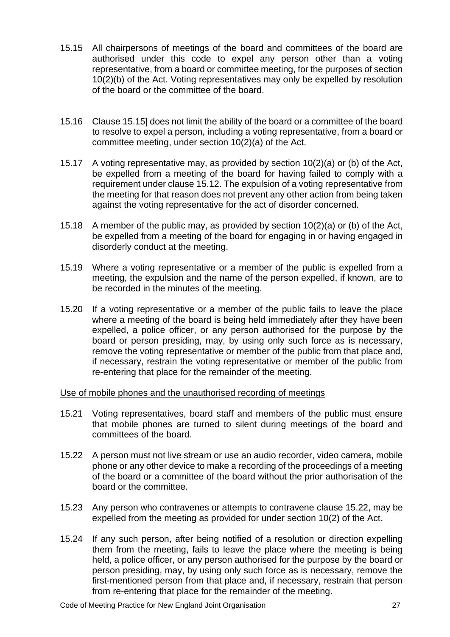- 15.15 All chairpersons of meetings of the board and committees of the board are authorised under this code to expel any person other than a voting representative, from a board or committee meeting, for the purposes of section 10(2)(b) of the Act. Voting representatives may only be expelled by resolution of the board or the committee of the board.
- 15.16 Clause 15.15] does not limit the ability of the board or a committee of the board to resolve to expel a person, including a voting representative, from a board or committee meeting, under section 10(2)(a) of the Act.
- 15.17 A voting representative may, as provided by section 10(2)(a) or (b) of the Act, be expelled from a meeting of the board for having failed to comply with a requirement under clause 15.12. The expulsion of a voting representative from the meeting for that reason does not prevent any other action from being taken against the voting representative for the act of disorder concerned.
- 15.18 A member of the public may, as provided by section 10(2)(a) or (b) of the Act, be expelled from a meeting of the board for engaging in or having engaged in disorderly conduct at the meeting.
- 15.19 Where a voting representative or a member of the public is expelled from a meeting, the expulsion and the name of the person expelled, if known, are to be recorded in the minutes of the meeting.
- 15.20 If a voting representative or a member of the public fails to leave the place where a meeting of the board is being held immediately after they have been expelled, a police officer, or any person authorised for the purpose by the board or person presiding, may, by using only such force as is necessary, remove the voting representative or member of the public from that place and, if necessary, restrain the voting representative or member of the public from re-entering that place for the remainder of the meeting.

Use of mobile phones and the unauthorised recording of meetings

- 15.21 Voting representatives, board staff and members of the public must ensure that mobile phones are turned to silent during meetings of the board and committees of the board.
- 15.22 A person must not live stream or use an audio recorder, video camera, mobile phone or any other device to make a recording of the proceedings of a meeting of the board or a committee of the board without the prior authorisation of the board or the committee.
- 15.23 Any person who contravenes or attempts to contravene clause 15.22, may be expelled from the meeting as provided for under section 10(2) of the Act.
- 15.24 If any such person, after being notified of a resolution or direction expelling them from the meeting, fails to leave the place where the meeting is being held, a police officer, or any person authorised for the purpose by the board or person presiding, may, by using only such force as is necessary, remove the first-mentioned person from that place and, if necessary, restrain that person from re-entering that place for the remainder of the meeting.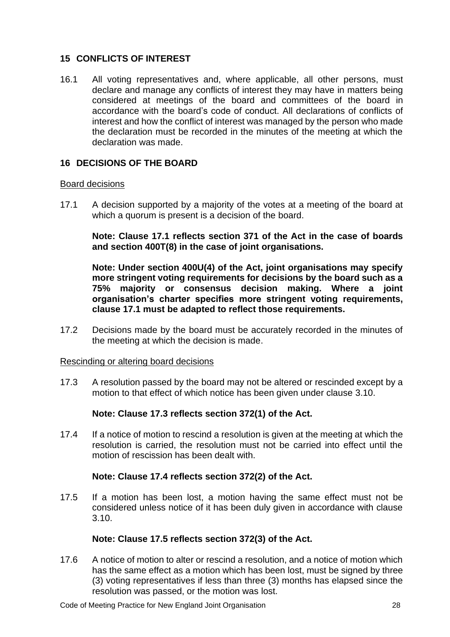# <span id="page-27-0"></span>**15 CONFLICTS OF INTEREST**

16.1 All voting representatives and, where applicable, all other persons, must declare and manage any conflicts of interest they may have in matters being considered at meetings of the board and committees of the board in accordance with the board's code of conduct. All declarations of conflicts of interest and how the conflict of interest was managed by the person who made the declaration must be recorded in the minutes of the meeting at which the declaration was made.

# <span id="page-27-1"></span>**16 DECISIONS OF THE BOARD**

# Board decisions

17.1 A decision supported by a majority of the votes at a meeting of the board at which a quorum is present is a decision of the board.

**Note: Clause 17.1 reflects section 371 of the Act in the case of boards and section 400T(8) in the case of joint organisations.**

**Note: Under section 400U(4) of the Act, joint organisations may specify more stringent voting requirements for decisions by the board such as a 75% majority or consensus decision making. Where a joint organisation's charter specifies more stringent voting requirements, clause 17.1 must be adapted to reflect those requirements.**

17.2 Decisions made by the board must be accurately recorded in the minutes of the meeting at which the decision is made.

### Rescinding or altering board decisions

17.3 A resolution passed by the board may not be altered or rescinded except by a motion to that effect of which notice has been given under clause 3.10.

# **Note: Clause 17.3 reflects section 372(1) of the Act.**

17.4 If a notice of motion to rescind a resolution is given at the meeting at which the resolution is carried, the resolution must not be carried into effect until the motion of rescission has been dealt with

### **Note: Clause 17.4 reflects section 372(2) of the Act.**

17.5 If a motion has been lost, a motion having the same effect must not be considered unless notice of it has been duly given in accordance with clause 3.10.

# **Note: Clause 17.5 reflects section 372(3) of the Act.**

17.6 A notice of motion to alter or rescind a resolution, and a notice of motion which has the same effect as a motion which has been lost, must be signed by three (3) voting representatives if less than three (3) months has elapsed since the resolution was passed, or the motion was lost.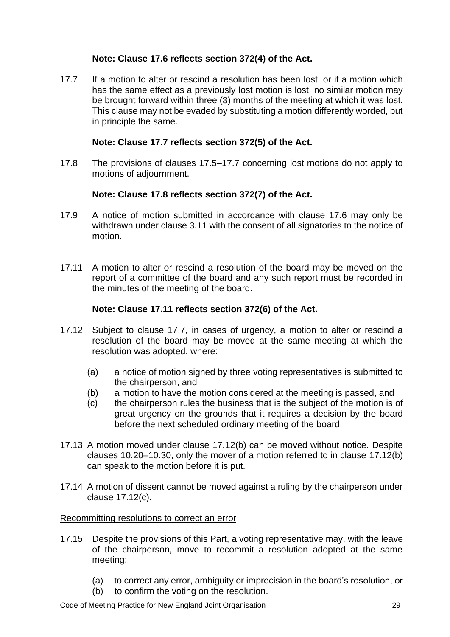# **Note: Clause 17.6 reflects section 372(4) of the Act.**

17.7 If a motion to alter or rescind a resolution has been lost, or if a motion which has the same effect as a previously lost motion is lost, no similar motion may be brought forward within three (3) months of the meeting at which it was lost. This clause may not be evaded by substituting a motion differently worded, but in principle the same.

# **Note: Clause 17.7 reflects section 372(5) of the Act.**

17.8 The provisions of clauses 17.5–17.7 concerning lost motions do not apply to motions of adjournment.

# **Note: Clause 17.8 reflects section 372(7) of the Act.**

- 17.9 A notice of motion submitted in accordance with clause 17.6 may only be withdrawn under clause 3.11 with the consent of all signatories to the notice of motion.
- 17.11 A motion to alter or rescind a resolution of the board may be moved on the report of a committee of the board and any such report must be recorded in the minutes of the meeting of the board.

# **Note: Clause 17.11 reflects section 372(6) of the Act.**

- 17.12 Subject to clause 17.7, in cases of urgency, a motion to alter or rescind a resolution of the board may be moved at the same meeting at which the resolution was adopted, where:
	- (a) a notice of motion signed by three voting representatives is submitted to the chairperson, and
	- (b) a motion to have the motion considered at the meeting is passed, and
	- (c) the chairperson rules the business that is the subject of the motion is of great urgency on the grounds that it requires a decision by the board before the next scheduled ordinary meeting of the board.
- 17.13 A motion moved under clause 17.12(b) can be moved without notice. Despite clauses 10.20–10.30, only the mover of a motion referred to in clause 17.12(b) can speak to the motion before it is put.
- 17.14 A motion of dissent cannot be moved against a ruling by the chairperson under clause 17.12(c).

### Recommitting resolutions to correct an error

- 17.15 Despite the provisions of this Part, a voting representative may, with the leave of the chairperson, move to recommit a resolution adopted at the same meeting:
	- (a) to correct any error, ambiguity or imprecision in the board's resolution, or
	- (b) to confirm the voting on the resolution.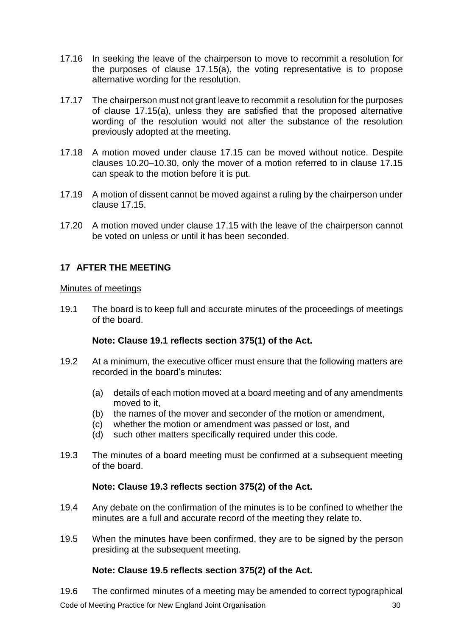- 17.16 In seeking the leave of the chairperson to move to recommit a resolution for the purposes of clause 17.15(a), the voting representative is to propose alternative wording for the resolution.
- 17.17 The chairperson must not grant leave to recommit a resolution for the purposes of clause 17.15(a), unless they are satisfied that the proposed alternative wording of the resolution would not alter the substance of the resolution previously adopted at the meeting.
- 17.18 A motion moved under clause 17.15 can be moved without notice. Despite clauses 10.20–10.30, only the mover of a motion referred to in clause 17.15 can speak to the motion before it is put.
- 17.19 A motion of dissent cannot be moved against a ruling by the chairperson under clause 17.15.
- 17.20 A motion moved under clause 17.15 with the leave of the chairperson cannot be voted on unless or until it has been seconded.

# <span id="page-29-0"></span>**17 AFTER THE MEETING**

### Minutes of meetings

19.1 The board is to keep full and accurate minutes of the proceedings of meetings of the board.

### **Note: Clause 19.1 reflects section 375(1) of the Act.**

- 19.2 At a minimum, the executive officer must ensure that the following matters are recorded in the board's minutes:
	- (a) details of each motion moved at a board meeting and of any amendments moved to it,
	- (b) the names of the mover and seconder of the motion or amendment,
	- (c) whether the motion or amendment was passed or lost, and
	- (d) such other matters specifically required under this code.
- 19.3 The minutes of a board meeting must be confirmed at a subsequent meeting of the board.

# **Note: Clause 19.3 reflects section 375(2) of the Act.**

- 19.4 Any debate on the confirmation of the minutes is to be confined to whether the minutes are a full and accurate record of the meeting they relate to.
- 19.5 When the minutes have been confirmed, they are to be signed by the person presiding at the subsequent meeting.

### **Note: Clause 19.5 reflects section 375(2) of the Act.**

Code of Meeting Practice for New England Joint Organisation 30 19.6 The confirmed minutes of a meeting may be amended to correct typographical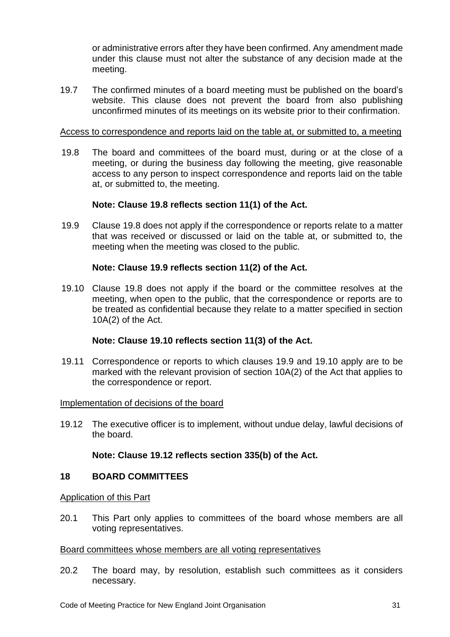or administrative errors after they have been confirmed. Any amendment made under this clause must not alter the substance of any decision made at the meeting.

19.7 The confirmed minutes of a board meeting must be published on the board's website. This clause does not prevent the board from also publishing unconfirmed minutes of its meetings on its website prior to their confirmation.

### Access to correspondence and reports laid on the table at, or submitted to, a meeting

19.8 The board and committees of the board must, during or at the close of a meeting, or during the business day following the meeting, give reasonable access to any person to inspect correspondence and reports laid on the table at, or submitted to, the meeting.

### **Note: Clause 19.8 reflects section 11(1) of the Act.**

19.9 Clause 19.8 does not apply if the correspondence or reports relate to a matter that was received or discussed or laid on the table at, or submitted to, the meeting when the meeting was closed to the public.

### **Note: Clause 19.9 reflects section 11(2) of the Act.**

19.10 Clause 19.8 does not apply if the board or the committee resolves at the meeting, when open to the public, that the correspondence or reports are to be treated as confidential because they relate to a matter specified in section 10A(2) of the Act.

### **Note: Clause 19.10 reflects section 11(3) of the Act.**

19.11 Correspondence or reports to which clauses 19.9 and 19.10 apply are to be marked with the relevant provision of section 10A(2) of the Act that applies to the correspondence or report.

#### Implementation of decisions of the board

19.12 The executive officer is to implement, without undue delay, lawful decisions of the board.

### **Note: Clause 19.12 reflects section 335(b) of the Act.**

#### <span id="page-30-0"></span>**18 BOARD COMMITTEES**

#### Application of this Part

20.1 This Part only applies to committees of the board whose members are all voting representatives.

#### Board committees whose members are all voting representatives

20.2 The board may, by resolution, establish such committees as it considers necessary.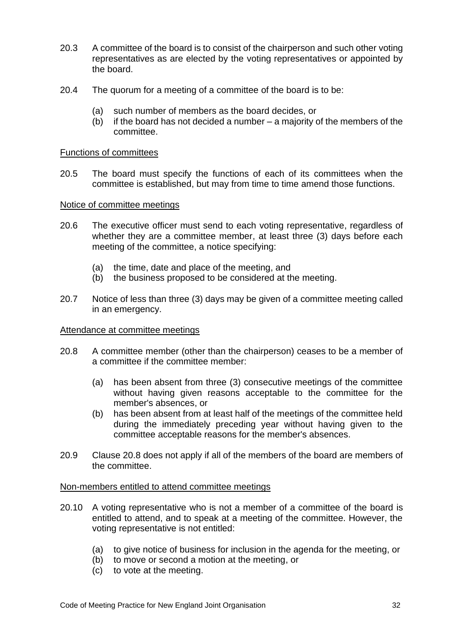- 20.3 A committee of the board is to consist of the chairperson and such other voting representatives as are elected by the voting representatives or appointed by the board.
- 20.4 The quorum for a meeting of a committee of the board is to be:
	- (a) such number of members as the board decides, or
	- (b) if the board has not decided a number a majority of the members of the committee.

#### Functions of committees

20.5 The board must specify the functions of each of its committees when the committee is established, but may from time to time amend those functions.

#### Notice of committee meetings

- 20.6 The executive officer must send to each voting representative, regardless of whether they are a committee member, at least three (3) days before each meeting of the committee, a notice specifying:
	- (a) the time, date and place of the meeting, and
	- (b) the business proposed to be considered at the meeting.
- 20.7 Notice of less than three (3) days may be given of a committee meeting called in an emergency.

#### Attendance at committee meetings

- 20.8 A committee member (other than the chairperson) ceases to be a member of a committee if the committee member:
	- (a) has been absent from three (3) consecutive meetings of the committee without having given reasons acceptable to the committee for the member's absences, or
	- (b) has been absent from at least half of the meetings of the committee held during the immediately preceding year without having given to the committee acceptable reasons for the member's absences.
- 20.9 Clause 20.8 does not apply if all of the members of the board are members of the committee.

#### Non-members entitled to attend committee meetings

- 20.10 A voting representative who is not a member of a committee of the board is entitled to attend, and to speak at a meeting of the committee. However, the voting representative is not entitled:
	- (a) to give notice of business for inclusion in the agenda for the meeting, or
	- (b) to move or second a motion at the meeting, or
	- (c) to vote at the meeting.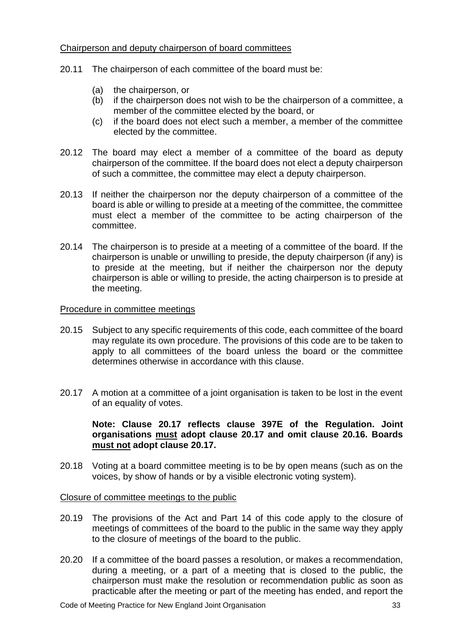### Chairperson and deputy chairperson of board committees

- 20.11 The chairperson of each committee of the board must be:
	- (a) the chairperson, or
	- (b) if the chairperson does not wish to be the chairperson of a committee, a member of the committee elected by the board, or
	- (c) if the board does not elect such a member, a member of the committee elected by the committee.
- 20.12 The board may elect a member of a committee of the board as deputy chairperson of the committee. If the board does not elect a deputy chairperson of such a committee, the committee may elect a deputy chairperson.
- 20.13 If neither the chairperson nor the deputy chairperson of a committee of the board is able or willing to preside at a meeting of the committee, the committee must elect a member of the committee to be acting chairperson of the committee.
- 20.14 The chairperson is to preside at a meeting of a committee of the board. If the chairperson is unable or unwilling to preside, the deputy chairperson (if any) is to preside at the meeting, but if neither the chairperson nor the deputy chairperson is able or willing to preside, the acting chairperson is to preside at the meeting.

# Procedure in committee meetings

- 20.15 Subject to any specific requirements of this code, each committee of the board may regulate its own procedure. The provisions of this code are to be taken to apply to all committees of the board unless the board or the committee determines otherwise in accordance with this clause.
- 20.17 A motion at a committee of a joint organisation is taken to be lost in the event of an equality of votes.

# **Note: Clause 20.17 reflects clause 397E of the Regulation. Joint organisations must adopt clause 20.17 and omit clause 20.16. Boards must not adopt clause 20.17.**

20.18 Voting at a board committee meeting is to be by open means (such as on the voices, by show of hands or by a visible electronic voting system).

### Closure of committee meetings to the public

- 20.19 The provisions of the Act and Part 14 of this code apply to the closure of meetings of committees of the board to the public in the same way they apply to the closure of meetings of the board to the public.
- 20.20 If a committee of the board passes a resolution, or makes a recommendation, during a meeting, or a part of a meeting that is closed to the public, the chairperson must make the resolution or recommendation public as soon as practicable after the meeting or part of the meeting has ended, and report the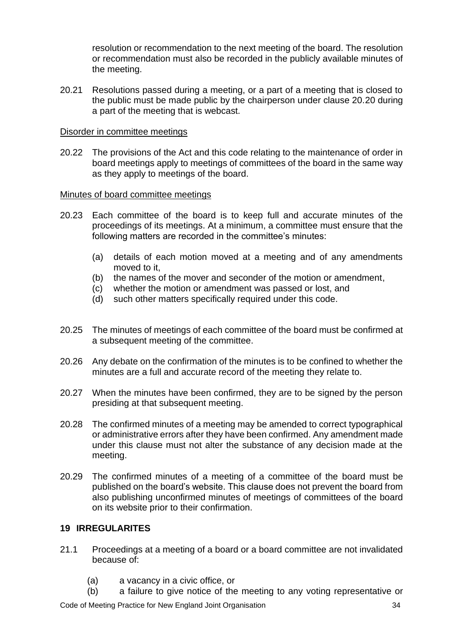resolution or recommendation to the next meeting of the board. The resolution or recommendation must also be recorded in the publicly available minutes of the meeting.

20.21 Resolutions passed during a meeting, or a part of a meeting that is closed to the public must be made public by the chairperson under clause 20.20 during a part of the meeting that is webcast.

### Disorder in committee meetings

20.22 The provisions of the Act and this code relating to the maintenance of order in board meetings apply to meetings of committees of the board in the same way as they apply to meetings of the board.

### Minutes of board committee meetings

- 20.23 Each committee of the board is to keep full and accurate minutes of the proceedings of its meetings. At a minimum, a committee must ensure that the following matters are recorded in the committee's minutes:
	- (a) details of each motion moved at a meeting and of any amendments moved to it,
	- (b) the names of the mover and seconder of the motion or amendment,
	- (c) whether the motion or amendment was passed or lost, and
	- (d) such other matters specifically required under this code.
- 20.25 The minutes of meetings of each committee of the board must be confirmed at a subsequent meeting of the committee.
- 20.26 Any debate on the confirmation of the minutes is to be confined to whether the minutes are a full and accurate record of the meeting they relate to.
- 20.27 When the minutes have been confirmed, they are to be signed by the person presiding at that subsequent meeting.
- 20.28 The confirmed minutes of a meeting may be amended to correct typographical or administrative errors after they have been confirmed. Any amendment made under this clause must not alter the substance of any decision made at the meeting.
- 20.29 The confirmed minutes of a meeting of a committee of the board must be published on the board's website. This clause does not prevent the board from also publishing unconfirmed minutes of meetings of committees of the board on its website prior to their confirmation.

# <span id="page-33-0"></span>**19 IRREGULARITES**

- 21.1 Proceedings at a meeting of a board or a board committee are not invalidated because of:
	- (a) a vacancy in a civic office, or
	- (b) a failure to give notice of the meeting to any voting representative or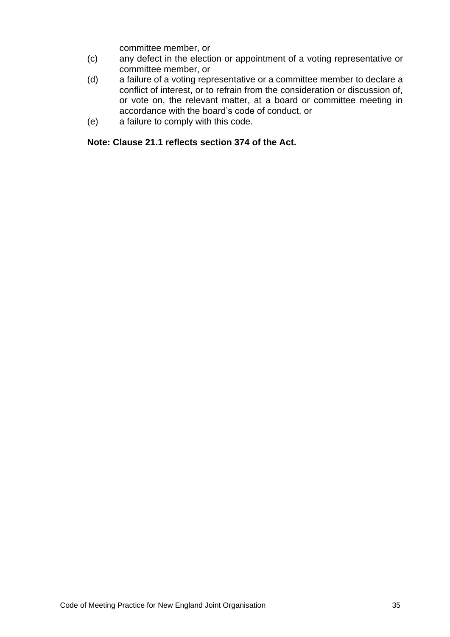committee member, or

- (c) any defect in the election or appointment of a voting representative or committee member, or
- (d) a failure of a voting representative or a committee member to declare a conflict of interest, or to refrain from the consideration or discussion of, or vote on, the relevant matter, at a board or committee meeting in accordance with the board's code of conduct, or
- (e) a failure to comply with this code.

# **Note: Clause 21.1 reflects section 374 of the Act.**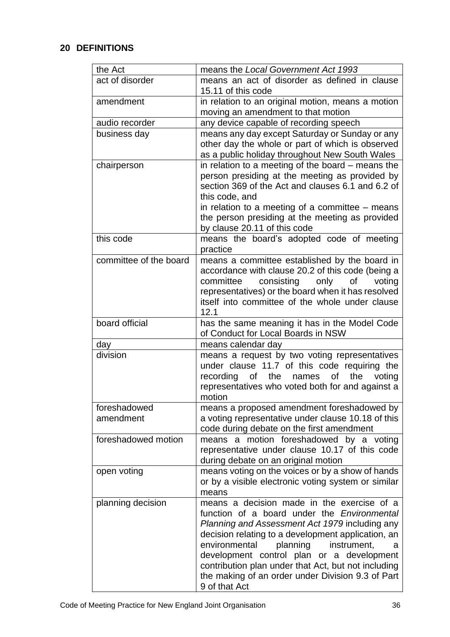# <span id="page-35-0"></span>**20 DEFINITIONS**

| the Act                   | means the Local Government Act 1993                                                                                                                                                                                                                                                                                                                                                                                                 |
|---------------------------|-------------------------------------------------------------------------------------------------------------------------------------------------------------------------------------------------------------------------------------------------------------------------------------------------------------------------------------------------------------------------------------------------------------------------------------|
| act of disorder           | means an act of disorder as defined in clause<br>15.11 of this code                                                                                                                                                                                                                                                                                                                                                                 |
| amendment                 | in relation to an original motion, means a motion<br>moving an amendment to that motion                                                                                                                                                                                                                                                                                                                                             |
| audio recorder            | any device capable of recording speech                                                                                                                                                                                                                                                                                                                                                                                              |
| business day              | means any day except Saturday or Sunday or any<br>other day the whole or part of which is observed<br>as a public holiday throughout New South Wales                                                                                                                                                                                                                                                                                |
| chairperson               | in relation to a meeting of the board $-$ means the<br>person presiding at the meeting as provided by<br>section 369 of the Act and clauses 6.1 and 6.2 of<br>this code, and<br>in relation to a meeting of a committee $-$ means<br>the person presiding at the meeting as provided<br>by clause 20.11 of this code                                                                                                                |
| this code                 | means the board's adopted code of meeting<br>practice                                                                                                                                                                                                                                                                                                                                                                               |
| committee of the board    | means a committee established by the board in<br>accordance with clause 20.2 of this code (being a<br>consisting<br>only<br>of<br>voting<br>committee<br>representatives) or the board when it has resolved<br>itself into committee of the whole under clause<br>12.1                                                                                                                                                              |
| board official            | has the same meaning it has in the Model Code<br>of Conduct for Local Boards in NSW                                                                                                                                                                                                                                                                                                                                                 |
| day                       | means calendar day                                                                                                                                                                                                                                                                                                                                                                                                                  |
| division                  | means a request by two voting representatives<br>under clause 11.7 of this code requiring the<br>recording of the<br>of<br>the<br>names<br>voting<br>representatives who voted both for and against a<br>motion                                                                                                                                                                                                                     |
| foreshadowed<br>amendment | means a proposed amendment foreshadowed by<br>a voting representative under clause 10.18 of this<br>code during debate on the first amendment                                                                                                                                                                                                                                                                                       |
| foreshadowed motion       | means a motion foreshadowed by a voting<br>representative under clause 10.17 of this code<br>during debate on an original motion                                                                                                                                                                                                                                                                                                    |
| open voting               | means voting on the voices or by a show of hands<br>or by a visible electronic voting system or similar<br>means                                                                                                                                                                                                                                                                                                                    |
| planning decision         | means a decision made in the exercise of a<br>function of a board under the <i>Environmental</i><br>Planning and Assessment Act 1979 including any<br>decision relating to a development application, an<br>planning<br>environmental<br>instrument,<br>a<br>development control plan or a development<br>contribution plan under that Act, but not including<br>the making of an order under Division 9.3 of Part<br>9 of that Act |